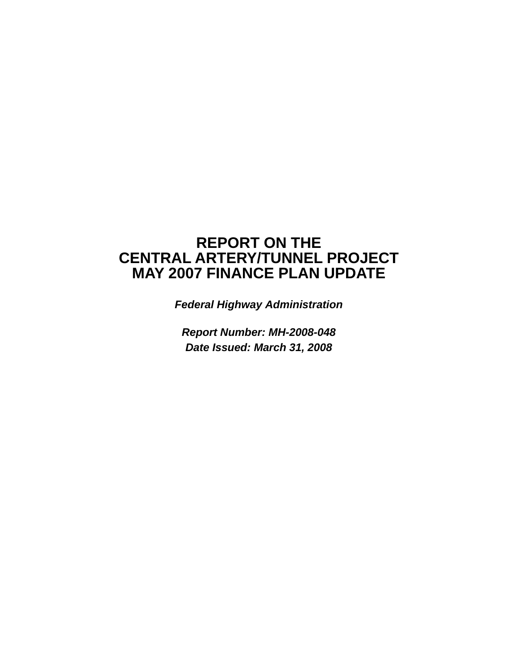# **REPORT ON THE CENTRAL ARTERY/TUNNEL PROJECT MAY 2007 FINANCE PLAN UPDATE**

*Federal Highway Administration* 

*Report Number: MH-2008-048 Date Issued: March 31, 2008*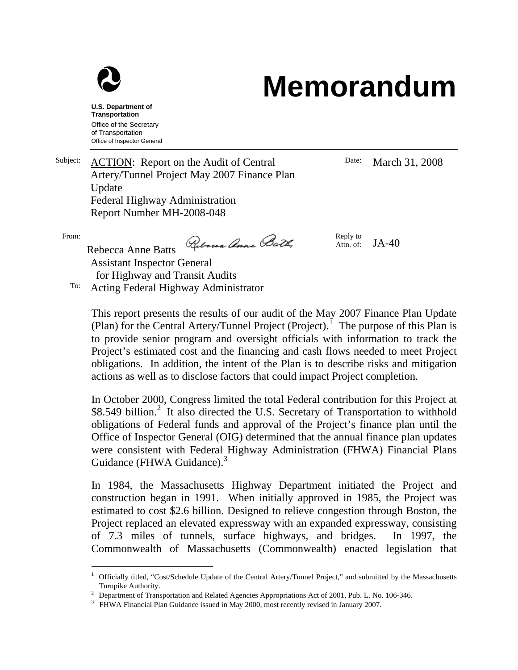

# **Memorandum**

**U.S. Department of Transportation**  Office of the Secretary of Transportation Office of Inspector General

Subject: ACTION: Report on the Audit of Central Artery/Tunnel Project May 2007 Finance Plan Update Federal Highway Administration Report Number MH-2008-048

From:

 $\overline{a}$ 

Ribena Anne Both

Reply to Attn. of:  $JA-40$ 

Date: March 31, 2008

Rebecca Anne Batts Assistant Inspector General for Highway and Transit Audits To: Acting Federal Highway Administrator

> This report presents the results of our audit of the May 2007 Finance Plan Update (Plan) for the Central Artery/Tunnel Project (Project).<sup>[1](#page-1-0)</sup> The purpose of this Plan is to provide senior program and oversight officials with information to track the Project's estimated cost and the financing and cash flows needed to meet Project obligations. In addition, the intent of the Plan is to describe risks and mitigation actions as well as to disclose factors that could impact Project completion.

> In October 2000, Congress limited the total Federal contribution for this Project at \$8.549 billion.<sup>[2](#page-1-1)</sup> It also directed the U.S. Secretary of Transportation to withhold obligations of Federal funds and approval of the Project's finance plan until the Office of Inspector General (OIG) determined that the annual finance plan updates were consistent with Federal Highway Administration (FHWA) Financial Plans Guidance (FHWA Guidance).<sup>[3](#page-1-2)</sup>

> In 1984, the Massachusetts Highway Department initiated the Project and construction began in 1991. When initially approved in 1985, the Project was estimated to cost \$2.6 billion. Designed to relieve congestion through Boston, the Project replaced an elevated expressway with an expanded expressway, consisting of 7.3 miles of tunnels, surface highways, and bridges. In 1997, the Commonwealth of Massachusetts (Commonwealth) enacted legislation that

<span id="page-1-0"></span><sup>&</sup>lt;sup>1</sup> Officially titled, "Cost/Schedule Update of the Central Artery/Tunnel Project," and submitted by the Massachusetts Turnpike Authority. 2

<span id="page-1-2"></span><span id="page-1-1"></span> $2$  Department of Transportation and Related Agencies Appropriations Act of 2001, Pub. L. No. 106-346.

<sup>&</sup>lt;sup>3</sup> FHWA Financial Plan Guidance issued in May 2000, most recently revised in January 2007.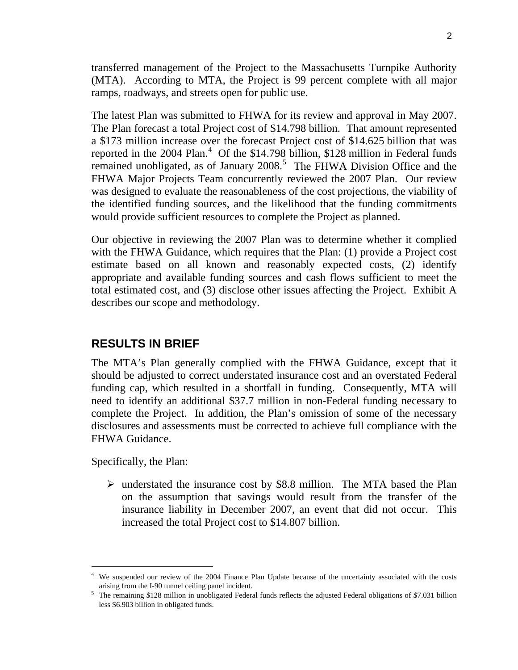transferred management of the Project to the Massachusetts Turnpike Authority (MTA). According to MTA, the Project is 99 percent complete with all major ramps, roadways, and streets open for public use.

The latest Plan was submitted to FHWA for its review and approval in May 2007. The Plan forecast a total Project cost of \$14.798 billion. That amount represented a \$173 million increase over the forecast Project cost of \$14.625 billion that was reported in the  $2004$  $2004$  Plan.<sup>4</sup> Of the \$14.798 billion, \$128 million in Federal funds remained unobligated, as of January  $2008$ .<sup>[5](#page-2-1)</sup> The FHWA Division Office and the FHWA Major Projects Team concurrently reviewed the 2007 Plan. Our review was designed to evaluate the reasonableness of the cost projections, the viability of the identified funding sources, and the likelihood that the funding commitments would provide sufficient resources to complete the Project as planned.

Our objective in reviewing the 2007 Plan was to determine whether it complied with the FHWA Guidance, which requires that the Plan: (1) provide a Project cost estimate based on all known and reasonably expected costs, (2) identify appropriate and available funding sources and cash flows sufficient to meet the total estimated cost, and (3) disclose other issues affecting the Project. Exhibit A describes our scope and methodology.

#### **RESULTS IN BRIEF**

The MTA's Plan generally complied with the FHWA Guidance, except that it should be adjusted to correct understated insurance cost and an overstated Federal funding cap, which resulted in a shortfall in funding. Consequently, MTA will need to identify an additional \$37.7 million in non-Federal funding necessary to complete the Project. In addition, the Plan's omission of some of the necessary disclosures and assessments must be corrected to achieve full compliance with the FHWA Guidance.

Specifically, the Plan:

 $\overline{a}$ 

 $\triangleright$  understated the insurance cost by \$8.8 million. The MTA based the Plan on the assumption that savings would result from the transfer of the insurance liability in December 2007, an event that did not occur. This increased the total Project cost to \$14.807 billion.

<span id="page-2-0"></span><sup>&</sup>lt;sup>4</sup> We suspended our review of the 2004 Finance Plan Update because of the uncertainty associated with the costs arising from the I-90 tunnel ceiling panel incident.

<span id="page-2-1"></span> $5$  The remaining \$128 million in unobligated Federal funds reflects the adjusted Federal obligations of \$7.031 billion less \$6.903 billion in obligated funds.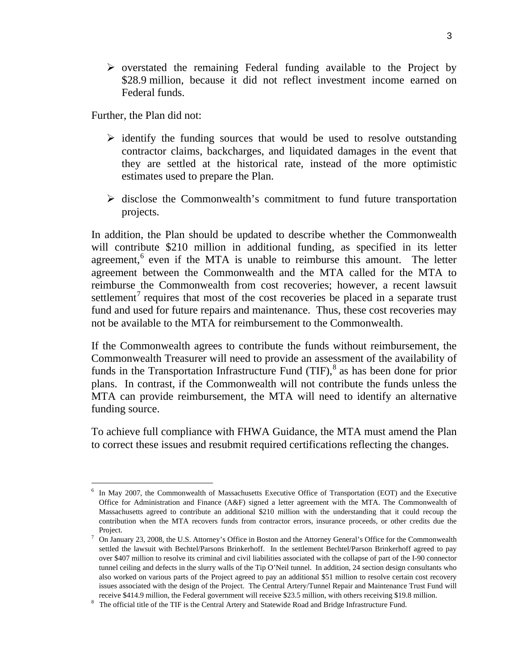$\triangleright$  overstated the remaining Federal funding available to the Project by \$28.9 million, because it did not reflect investment income earned on Federal funds.

Further, the Plan did not:

- $\triangleright$  identify the funding sources that would be used to resolve outstanding contractor claims, backcharges, and liquidated damages in the event that they are settled at the historical rate, instead of the more optimistic estimates used to prepare the Plan.
- $\triangleright$  disclose the Commonwealth's commitment to fund future transportation projects.

In addition, the Plan should be updated to describe whether the Commonwealth will contribute \$210 million in additional funding, as specified in its letter agreement,<sup>[6](#page-3-0)</sup> even if the MTA is unable to reimburse this amount. The letter agreement between the Commonwealth and the MTA called for the MTA to reimburse the Commonwealth from cost recoveries; however, a recent lawsuit settlement<sup>[7](#page-3-1)</sup> requires that most of the cost recoveries be placed in a separate trust fund and used for future repairs and maintenance. Thus, these cost recoveries may not be available to the MTA for reimbursement to the Commonwealth.

If the Commonwealth agrees to contribute the funds without reimbursement, the Commonwealth Treasurer will need to provide an assessment of the availability of funds in the Transportation Infrastructure Fund  $(TIF)$ , as has been done for prior plans. In contrast, if the Commonwealth will not contribute the funds unless the MTA can provide reimbursement, the MTA will need to identify an alternative funding source.

To achieve full compliance with FHWA Guidance, the MTA must amend the Plan to correct these issues and resubmit required certifications reflecting the changes.

<span id="page-3-0"></span> $\overline{a}$ <sup>6</sup> In May 2007, the Commonwealth of Massachusetts Executive Office of Transportation (EOT) and the Executive Office for Administration and Finance (A&F) signed a letter agreement with the MTA. The Commonwealth of Massachusetts agreed to contribute an additional \$210 million with the understanding that it could recoup the contribution when the MTA recovers funds from contractor errors, insurance proceeds, or other credits due the

<span id="page-3-1"></span>Project.<br><sup>7</sup> On January 23, 2008, the U.S. Attorney's Office in Boston and the Attorney General's Office for the Commonwealth settled the lawsuit with Bechtel/Parsons Brinkerhoff. In the settlement Bechtel/Parson Brinkerhoff agreed to pay over \$407 million to resolve its criminal and civil liabilities associated with the collapse of part of the I-90 connector tunnel ceiling and defects in the slurry walls of the Tip O'Neil tunnel. In addition, 24 section design consultants who also worked on various parts of the Project agreed to pay an additional \$51 million to resolve certain cost recovery issues associated with the design of the Project. The Central Artery/Tunnel Repair and Maintenance Trust Fund will receive \$414.9 million, the Federal government will receive \$23.5 million, with others receiving \$19.8 million.

<span id="page-3-2"></span>The official title of the TIF is the Central Artery and Statewide Road and Bridge Infrastructure Fund.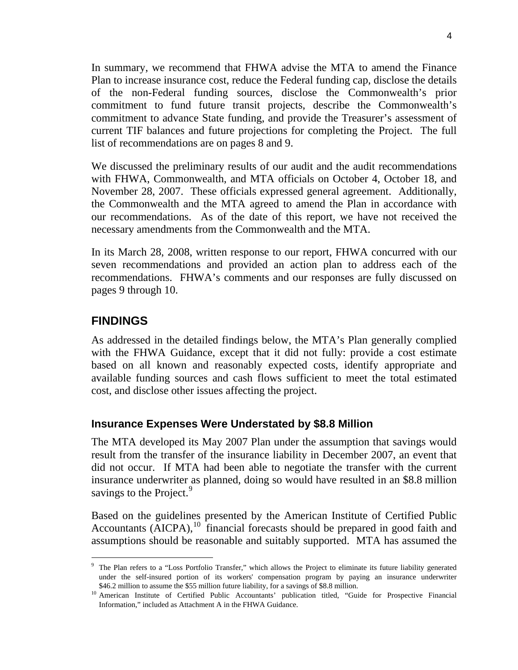In summary, we recommend that FHWA advise the MTA to amend the Finance Plan to increase insurance cost, reduce the Federal funding cap, disclose the details of the non-Federal funding sources, disclose the Commonwealth's prior commitment to fund future transit projects, describe the Commonwealth's commitment to advance State funding, and provide the Treasurer's assessment of current TIF balances and future projections for completing the Project. The full list of recommendations are on pages 8 and 9.

We discussed the preliminary results of our audit and the audit recommendations with FHWA, Commonwealth, and MTA officials on October 4, October 18, and November 28, 2007. These officials expressed general agreement. Additionally, the Commonwealth and the MTA agreed to amend the Plan in accordance with our recommendations. As of the date of this report, we have not received the necessary amendments from the Commonwealth and the MTA.

In its March 28, 2008, written response to our report, FHWA concurred with our seven recommendations and provided an action plan to address each of the recommendations. FHWA's comments and our responses are fully discussed on pages 9 through 10.

#### **FINDINGS**

 $\overline{a}$ 

As addressed in the detailed findings below, the MTA's Plan generally complied with the FHWA Guidance, except that it did not fully: provide a cost estimate based on all known and reasonably expected costs, identify appropriate and available funding sources and cash flows sufficient to meet the total estimated cost, and disclose other issues affecting the project.

#### **Insurance Expenses Were Understated by \$8.8 Million**

The MTA developed its May 2007 Plan under the assumption that savings would result from the transfer of the insurance liability in December 2007, an event that did not occur. If MTA had been able to negotiate the transfer with the current insurance underwriter as planned, doing so would have resulted in an \$8.8 million savings to the Project.<sup>[9](#page-4-0)</sup>

Based on the guidelines presented by the American Institute of Certified Public Accountants  $\overline{(AICPA)}$ ,  $^{10}$  $^{10}$  $^{10}$  financial forecasts should be prepared in good faith and assumptions should be reasonable and suitably supported. MTA has assumed the

<span id="page-4-0"></span><sup>&</sup>lt;sup>9</sup> The Plan refers to a "Loss Portfolio Transfer," which allows the Project to eliminate its future liability generated under the self-insured portion of its workers' compensation program by paying an insurance underwriter

<span id="page-4-1"></span><sup>\$46.2</sup> million to assume the \$55 million future liability, for a savings of \$8.8 million.<br><sup>10</sup> American Institute of Certified Public Accountants' publication titled, "Guide for Prospective Financial Information," included as Attachment A in the FHWA Guidance.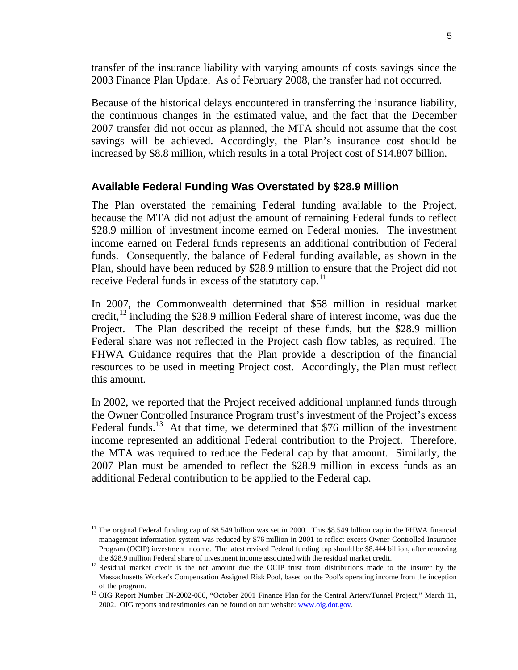transfer of the insurance liability with varying amounts of costs savings since the 2003 Finance Plan Update. As of February 2008, the transfer had not occurred.

Because of the historical delays encountered in transferring the insurance liability, the continuous changes in the estimated value, and the fact that the December 2007 transfer did not occur as planned, the MTA should not assume that the cost savings will be achieved. Accordingly, the Plan's insurance cost should be increased by \$8.8 million, which results in a total Project cost of \$14.807 billion.

#### **Available Federal Funding Was Overstated by \$28.9 Million**

The Plan overstated the remaining Federal funding available to the Project, because the MTA did not adjust the amount of remaining Federal funds to reflect \$28.9 million of investment income earned on Federal monies. The investment income earned on Federal funds represents an additional contribution of Federal funds. Consequently, the balance of Federal funding available, as shown in the Plan, should have been reduced by \$28.9 million to ensure that the Project did not receive Federal funds in excess of the statutory cap.<sup>[11](#page-5-0)</sup>

In 2007, the Commonwealth determined that \$58 million in residual market credit,  $^{12}$  $^{12}$  $^{12}$  including the \$28.9 million Federal share of interest income, was due the Project. The Plan described the receipt of these funds, but the \$28.9 million Federal share was not reflected in the Project cash flow tables, as required. The FHWA Guidance requires that the Plan provide a description of the financial resources to be used in meeting Project cost. Accordingly, the Plan must reflect this amount.

In 2002, we reported that the Project received additional unplanned funds through the Owner Controlled Insurance Program trust's investment of the Project's excess Federal funds.<sup>[13](#page-5-2)</sup> At that time, we determined that \$76 million of the investment income represented an additional Federal contribution to the Project. Therefore, the MTA was required to reduce the Federal cap by that amount. Similarly, the 2007 Plan must be amended to reflect the \$28.9 million in excess funds as an additional Federal contribution to be applied to the Federal cap.

 $\overline{a}$ 

<span id="page-5-0"></span> $11$  The original Federal funding cap of \$8.549 billion was set in 2000. This \$8.549 billion cap in the FHWA financial management information system was reduced by \$76 million in 2001 to reflect excess Owner Controlled Insurance Program (OCIP) investment income. The latest revised Federal funding cap should be \$8.444 billion, after removing

<span id="page-5-1"></span>the \$28.9 million Federal share of investment income associated with the residual market credit.<br><sup>12</sup> Residual market credit is the net amount due the OCIP trust from distributions made to the insurer by the Massachusetts Worker's Compensation Assigned Risk Pool, based on the Pool's operating income from the inception

<span id="page-5-2"></span>of the program.<br><sup>13</sup> OIG Report Number IN-2002-086, "October 2001 Finance Plan for the Central Artery/Tunnel Project," March 11, 2002. OIG reports and testimonies can be found on our website: [www.oig.dot.gov.](http://www.oig.dot.gov/)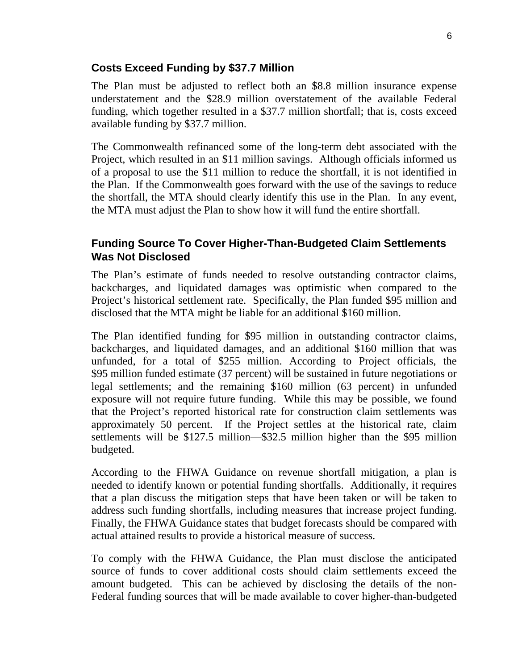#### **Costs Exceed Funding by \$37.7 Million**

The Plan must be adjusted to reflect both an \$8.8 million insurance expense understatement and the \$28.9 million overstatement of the available Federal funding, which together resulted in a \$37.7 million shortfall; that is, costs exceed available funding by \$37.7 million.

The Commonwealth refinanced some of the long-term debt associated with the Project, which resulted in an \$11 million savings. Although officials informed us of a proposal to use the \$11 million to reduce the shortfall, it is not identified in the Plan. If the Commonwealth goes forward with the use of the savings to reduce the shortfall, the MTA should clearly identify this use in the Plan. In any event, the MTA must adjust the Plan to show how it will fund the entire shortfall.

#### **Funding Source To Cover Higher-Than-Budgeted Claim Settlements Was Not Disclosed**

The Plan's estimate of funds needed to resolve outstanding contractor claims, backcharges, and liquidated damages was optimistic when compared to the Project's historical settlement rate. Specifically, the Plan funded \$95 million and disclosed that the MTA might be liable for an additional \$160 million.

The Plan identified funding for \$95 million in outstanding contractor claims, backcharges, and liquidated damages, and an additional \$160 million that was unfunded, for a total of \$255 million. According to Project officials, the \$95 million funded estimate (37 percent) will be sustained in future negotiations or legal settlements; and the remaining \$160 million (63 percent) in unfunded exposure will not require future funding. While this may be possible, we found that the Project's reported historical rate for construction claim settlements was approximately 50 percent. If the Project settles at the historical rate, claim settlements will be \$127.5 million—\$32.5 million higher than the \$95 million budgeted.

According to the FHWA Guidance on revenue shortfall mitigation, a plan is needed to identify known or potential funding shortfalls. Additionally, it requires that a plan discuss the mitigation steps that have been taken or will be taken to address such funding shortfalls, including measures that increase project funding. Finally, the FHWA Guidance states that budget forecasts should be compared with actual attained results to provide a historical measure of success.

To comply with the FHWA Guidance, the Plan must disclose the anticipated source of funds to cover additional costs should claim settlements exceed the amount budgeted. This can be achieved by disclosing the details of the non-Federal funding sources that will be made available to cover higher-than-budgeted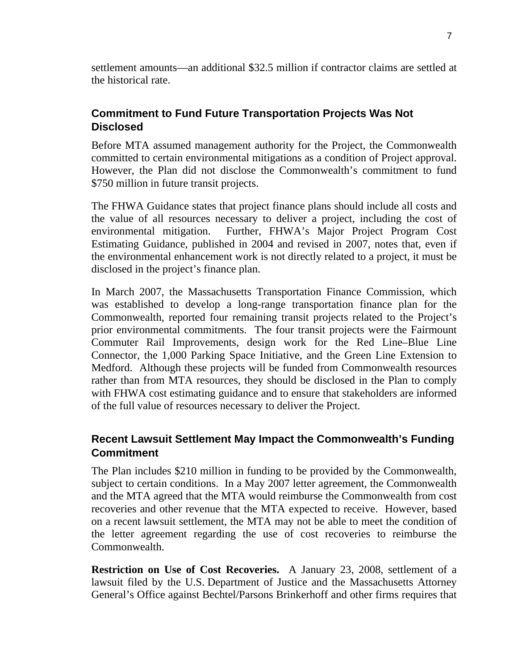settlement amounts—an additional \$32.5 million if contractor claims are settled at the historical rate.

### **Commitment to Fund Future Transportation Projects Was Not Disclosed**

Before MTA assumed management authority for the Project, the Commonwealth committed to certain environmental mitigations as a condition of Project approval. However, the Plan did not disclose the Commonwealth's commitment to fund \$750 million in future transit projects.

The FHWA Guidance states that project finance plans should include all costs and the value of all resources necessary to deliver a project, including the cost of environmental mitigation. Further, FHWA's Major Project Program Cost Estimating Guidance, published in 2004 and revised in 2007, notes that, even if the environmental enhancement work is not directly related to a project, it must be disclosed in the project's finance plan.

In March 2007, the Massachusetts Transportation Finance Commission, which was established to develop a long-range transportation finance plan for the Commonwealth, reported four remaining transit projects related to the Project's prior environmental commitments. The four transit projects were the Fairmount Commuter Rail Improvements, design work for the Red Line–Blue Line Connector, the 1,000 Parking Space Initiative, and the Green Line Extension to Medford. Although these projects will be funded from Commonwealth resources rather than from MTA resources, they should be disclosed in the Plan to comply with FHWA cost estimating guidance and to ensure that stakeholders are informed of the full value of resources necessary to deliver the Project.

## **Recent Lawsuit Settlement May Impact the Commonwealth's Funding Commitment**

The Plan includes \$210 million in funding to be provided by the Commonwealth, subject to certain conditions. In a May 2007 letter agreement, the Commonwealth and the MTA agreed that the MTA would reimburse the Commonwealth from cost recoveries and other revenue that the MTA expected to receive. However, based on a recent lawsuit settlement, the MTA may not be able to meet the condition of the letter agreement regarding the use of cost recoveries to reimburse the Commonwealth.

**Restriction on Use of Cost Recoveries.** A January 23, 2008, settlement of a lawsuit filed by the U.S. Department of Justice and the Massachusetts Attorney General's Office against Bechtel/Parsons Brinkerhoff and other firms requires that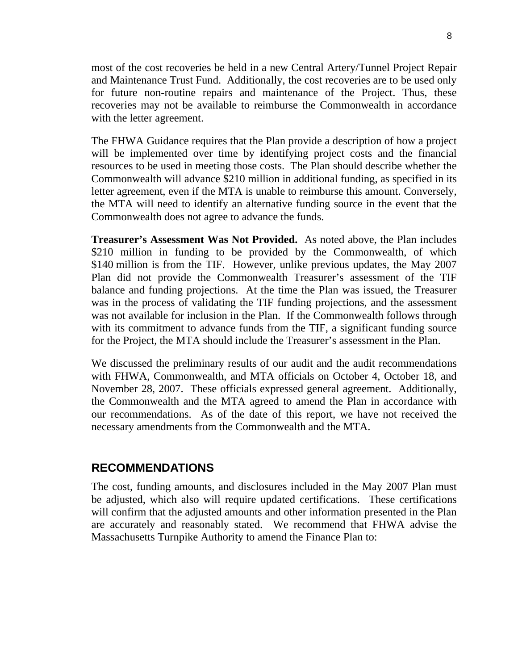most of the cost recoveries be held in a new Central Artery/Tunnel Project Repair and Maintenance Trust Fund. Additionally, the cost recoveries are to be used only for future non-routine repairs and maintenance of the Project. Thus, these recoveries may not be available to reimburse the Commonwealth in accordance with the letter agreement.

The FHWA Guidance requires that the Plan provide a description of how a project will be implemented over time by identifying project costs and the financial resources to be used in meeting those costs. The Plan should describe whether the Commonwealth will advance \$210 million in additional funding, as specified in its letter agreement, even if the MTA is unable to reimburse this amount. Conversely, the MTA will need to identify an alternative funding source in the event that the Commonwealth does not agree to advance the funds.

**Treasurer's Assessment Was Not Provided.** As noted above, the Plan includes \$210 million in funding to be provided by the Commonwealth, of which \$140 million is from the TIF. However, unlike previous updates, the May 2007 Plan did not provide the Commonwealth Treasurer's assessment of the TIF balance and funding projections. At the time the Plan was issued, the Treasurer was in the process of validating the TIF funding projections, and the assessment was not available for inclusion in the Plan. If the Commonwealth follows through with its commitment to advance funds from the TIF, a significant funding source for the Project, the MTA should include the Treasurer's assessment in the Plan.

We discussed the preliminary results of our audit and the audit recommendations with FHWA, Commonwealth, and MTA officials on October 4, October 18, and November 28, 2007. These officials expressed general agreement. Additionally, the Commonwealth and the MTA agreed to amend the Plan in accordance with our recommendations. As of the date of this report, we have not received the necessary amendments from the Commonwealth and the MTA.

#### **RECOMMENDATIONS**

The cost, funding amounts, and disclosures included in the May 2007 Plan must be adjusted, which also will require updated certifications. These certifications will confirm that the adjusted amounts and other information presented in the Plan are accurately and reasonably stated. We recommend that FHWA advise the Massachusetts Turnpike Authority to amend the Finance Plan to: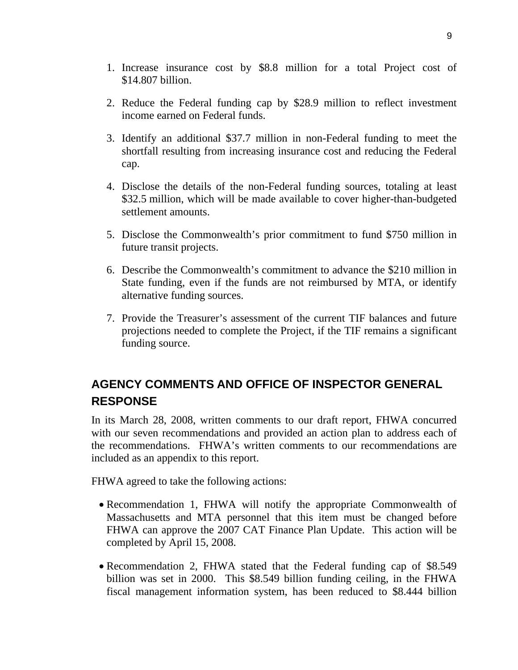- 1. Increase insurance cost by \$8.8 million for a total Project cost of \$14.807 billion.
- 2. Reduce the Federal funding cap by \$28.9 million to reflect investment income earned on Federal funds.
- 3. Identify an additional \$37.7 million in non-Federal funding to meet the shortfall resulting from increasing insurance cost and reducing the Federal cap.
- 4. Disclose the details of the non-Federal funding sources, totaling at least \$32.5 million, which will be made available to cover higher-than-budgeted settlement amounts.
- 5. Disclose the Commonwealth's prior commitment to fund \$750 million in future transit projects.
- 6. Describe the Commonwealth's commitment to advance the \$210 million in State funding, even if the funds are not reimbursed by MTA, or identify alternative funding sources.
- 7. Provide the Treasurer's assessment of the current TIF balances and future projections needed to complete the Project, if the TIF remains a significant funding source.

## **AGENCY COMMENTS AND OFFICE OF INSPECTOR GENERAL RESPONSE**

In its March 28, 2008, written comments to our draft report, FHWA concurred with our seven recommendations and provided an action plan to address each of the recommendations. FHWA's written comments to our recommendations are included as an appendix to this report.

FHWA agreed to take the following actions:

- Recommendation 1, FHWA will notify the appropriate Commonwealth of Massachusetts and MTA personnel that this item must be changed before FHWA can approve the 2007 CAT Finance Plan Update. This action will be completed by April 15, 2008.
- Recommendation 2, FHWA stated that the Federal funding cap of \$8.549 billion was set in 2000. This \$8.549 billion funding ceiling, in the FHWA fiscal management information system, has been reduced to \$8.444 billion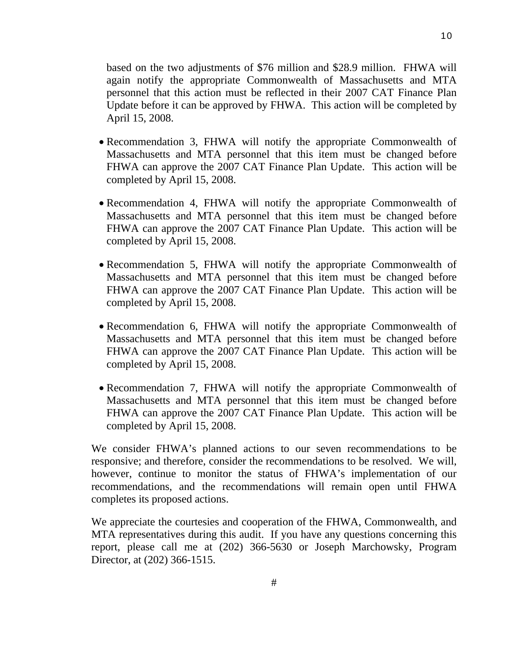based on the two adjustments of \$76 million and \$28.9 million. FHWA will again notify the appropriate Commonwealth of Massachusetts and MTA personnel that this action must be reflected in their 2007 CAT Finance Plan Update before it can be approved by FHWA. This action will be completed by April 15, 2008.

- Recommendation 3, FHWA will notify the appropriate Commonwealth of Massachusetts and MTA personnel that this item must be changed before FHWA can approve the 2007 CAT Finance Plan Update. This action will be completed by April 15, 2008.
- Recommendation 4, FHWA will notify the appropriate Commonwealth of Massachusetts and MTA personnel that this item must be changed before FHWA can approve the 2007 CAT Finance Plan Update. This action will be completed by April 15, 2008.
- Recommendation 5, FHWA will notify the appropriate Commonwealth of Massachusetts and MTA personnel that this item must be changed before FHWA can approve the 2007 CAT Finance Plan Update. This action will be completed by April 15, 2008.
- Recommendation 6, FHWA will notify the appropriate Commonwealth of Massachusetts and MTA personnel that this item must be changed before FHWA can approve the 2007 CAT Finance Plan Update. This action will be completed by April 15, 2008.
- Recommendation 7, FHWA will notify the appropriate Commonwealth of Massachusetts and MTA personnel that this item must be changed before FHWA can approve the 2007 CAT Finance Plan Update. This action will be completed by April 15, 2008.

We consider FHWA's planned actions to our seven recommendations to be responsive; and therefore, consider the recommendations to be resolved. We will, however, continue to monitor the status of FHWA's implementation of our recommendations, and the recommendations will remain open until FHWA completes its proposed actions.

We appreciate the courtesies and cooperation of the FHWA, Commonwealth, and MTA representatives during this audit. If you have any questions concerning this report, please call me at (202) 366-5630 or Joseph Marchowsky, Program Director, at (202) 366-1515.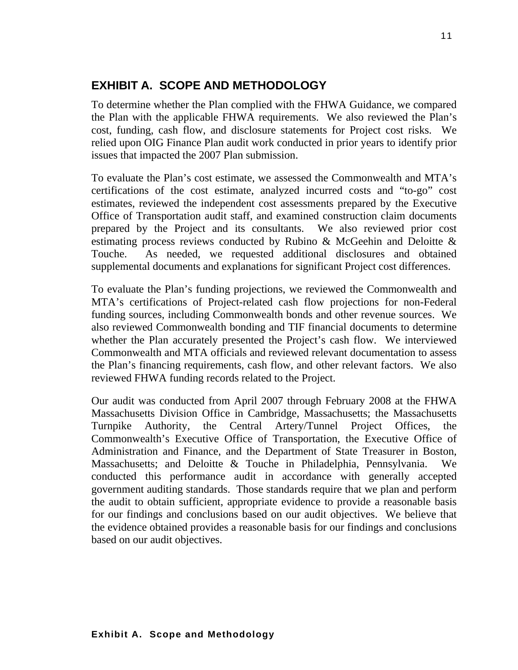## **EXHIBIT A. SCOPE AND METHODOLOGY**

To determine whether the Plan complied with the FHWA Guidance, we compared the Plan with the applicable FHWA requirements. We also reviewed the Plan's cost, funding, cash flow, and disclosure statements for Project cost risks. We relied upon OIG Finance Plan audit work conducted in prior years to identify prior issues that impacted the 2007 Plan submission.

To evaluate the Plan's cost estimate, we assessed the Commonwealth and MTA's certifications of the cost estimate, analyzed incurred costs and "to-go" cost estimates, reviewed the independent cost assessments prepared by the Executive Office of Transportation audit staff, and examined construction claim documents prepared by the Project and its consultants. We also reviewed prior cost estimating process reviews conducted by Rubino & McGeehin and Deloitte & Touche. As needed, we requested additional disclosures and obtained supplemental documents and explanations for significant Project cost differences.

To evaluate the Plan's funding projections, we reviewed the Commonwealth and MTA's certifications of Project-related cash flow projections for non-Federal funding sources, including Commonwealth bonds and other revenue sources. We also reviewed Commonwealth bonding and TIF financial documents to determine whether the Plan accurately presented the Project's cash flow. We interviewed Commonwealth and MTA officials and reviewed relevant documentation to assess the Plan's financing requirements, cash flow, and other relevant factors. We also reviewed FHWA funding records related to the Project.

Our audit was conducted from April 2007 through February 2008 at the FHWA Massachusetts Division Office in Cambridge, Massachusetts; the Massachusetts Turnpike Authority, the Central Artery/Tunnel Project Offices, the Commonwealth's Executive Office of Transportation, the Executive Office of Administration and Finance, and the Department of State Treasurer in Boston, Massachusetts; and Deloitte & Touche in Philadelphia, Pennsylvania. We conducted this performance audit in accordance with generally accepted government auditing standards. Those standards require that we plan and perform the audit to obtain sufficient, appropriate evidence to provide a reasonable basis for our findings and conclusions based on our audit objectives. We believe that the evidence obtained provides a reasonable basis for our findings and conclusions based on our audit objectives.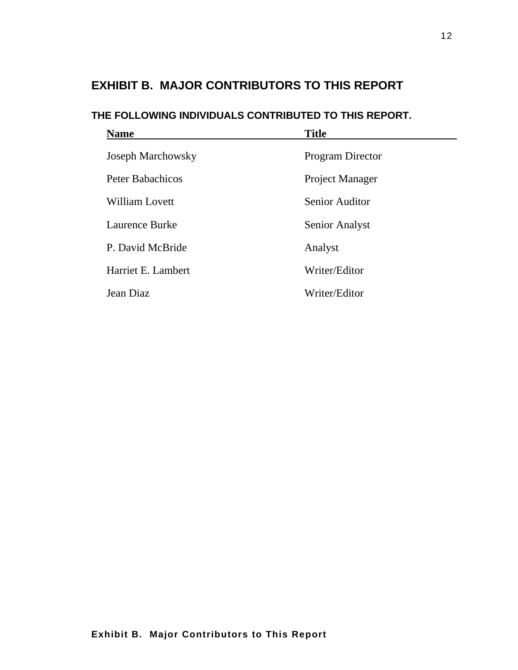## **EXHIBIT B. MAJOR CONTRIBUTORS TO THIS REPORT**

## **THE FOLLOWING INDIVIDUALS CONTRIBUTED TO THIS REPORT.**

| <b>Name</b>              | <b>Title</b>            |
|--------------------------|-------------------------|
| <b>Joseph Marchowsky</b> | <b>Program Director</b> |
| <b>Peter Babachicos</b>  | Project Manager         |
| <b>William Lovett</b>    | <b>Senior Auditor</b>   |
| Laurence Burke           | <b>Senior Analyst</b>   |
| P. David McBride         | Analyst                 |
| Harriet E. Lambert       | Writer/Editor           |
| Jean Diaz                | Writer/Editor           |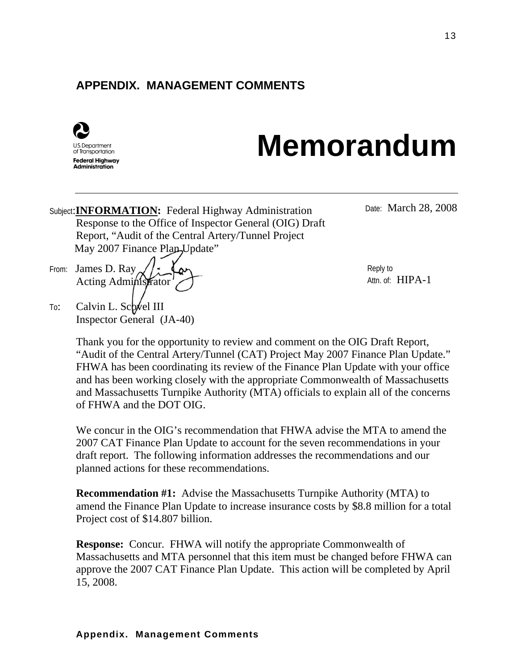## **APPENDIX. MANAGEMENT COMMENTS**



# **Memorandum**

Subject:**INFORMATION:** Federal Highway Administration Date: March 28, 2008 Response to the Office of Inspector General (OIG) Draft Report, "Audit of the Central Artery/Tunnel Project May 2007 Finance Plan-Update"

From: James D. Ray Acting Administrator

Inspector General (JA-40)

To: Calvin L. Schwel III

Reply to Attn. of: HIPA-1

Thank you for the opportunity to review and comment on the OIG Draft Report, "Audit of the Central Artery/Tunnel (CAT) Project May 2007 Finance Plan Update." FHWA has been coordinating its review of the Finance Plan Update with your office and has been working closely with the appropriate Commonwealth of Massachusetts and Massachusetts Turnpike Authority (MTA) officials to explain all of the concerns of FHWA and the DOT OIG.

We concur in the OIG's recommendation that FHWA advise the MTA to amend the 2007 CAT Finance Plan Update to account for the seven recommendations in your draft report. The following information addresses the recommendations and our planned actions for these recommendations.

**Recommendation #1:** Advise the Massachusetts Turnpike Authority (MTA) to amend the Finance Plan Update to increase insurance costs by \$8.8 million for a total Project cost of \$14.807 billion.

**Response:** Concur. FHWA will notify the appropriate Commonwealth of Massachusetts and MTA personnel that this item must be changed before FHWA can approve the 2007 CAT Finance Plan Update. This action will be completed by April 15, 2008.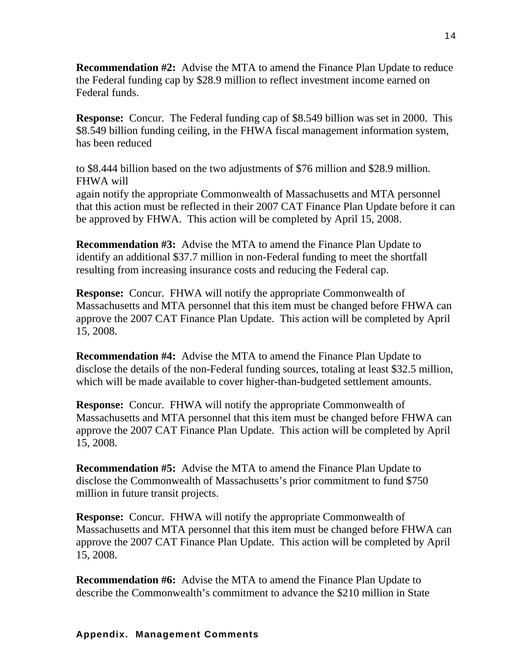**Recommendation #2:** Advise the MTA to amend the Finance Plan Update to reduce the Federal funding cap by \$28.9 million to reflect investment income earned on Federal funds.

**Response:** Concur. The Federal funding cap of \$8.549 billion was set in 2000. This \$8.549 billion funding ceiling, in the FHWA fiscal management information system, has been reduced

to \$8.444 billion based on the two adjustments of \$76 million and \$28.9 million. FHWA will

again notify the appropriate Commonwealth of Massachusetts and MTA personnel that this action must be reflected in their 2007 CAT Finance Plan Update before it can be approved by FHWA. This action will be completed by April 15, 2008.

**Recommendation #3:** Advise the MTA to amend the Finance Plan Update to identify an additional \$37.7 million in non-Federal funding to meet the shortfall resulting from increasing insurance costs and reducing the Federal cap.

**Response:** Concur. FHWA will notify the appropriate Commonwealth of Massachusetts and MTA personnel that this item must be changed before FHWA can approve the 2007 CAT Finance Plan Update. This action will be completed by April 15, 2008.

**Recommendation #4:** Advise the MTA to amend the Finance Plan Update to disclose the details of the non-Federal funding sources, totaling at least \$32.5 million, which will be made available to cover higher-than-budgeted settlement amounts.

**Response:** Concur. FHWA will notify the appropriate Commonwealth of Massachusetts and MTA personnel that this item must be changed before FHWA can approve the 2007 CAT Finance Plan Update. This action will be completed by April 15, 2008.

**Recommendation #5:** Advise the MTA to amend the Finance Plan Update to disclose the Commonwealth of Massachusetts's prior commitment to fund \$750 million in future transit projects.

**Response:** Concur. FHWA will notify the appropriate Commonwealth of Massachusetts and MTA personnel that this item must be changed before FHWA can approve the 2007 CAT Finance Plan Update. This action will be completed by April 15, 2008.

**Recommendation #6:** Advise the MTA to amend the Finance Plan Update to describe the Commonwealth's commitment to advance the \$210 million in State